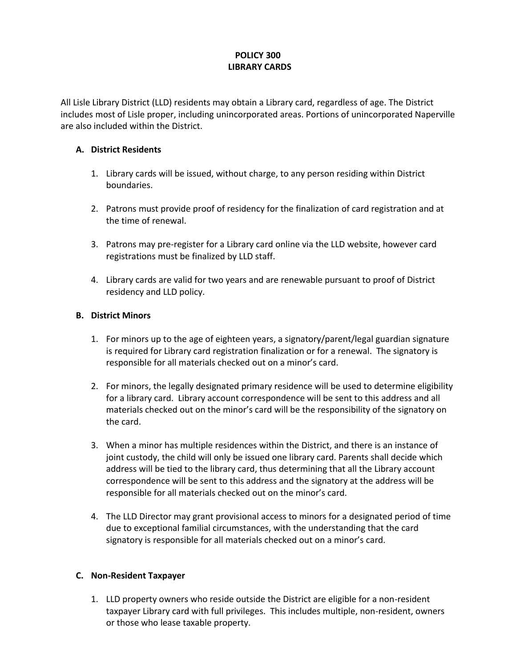# **POLICY 300 LIBRARY CARDS**

All Lisle Library District (LLD) residents may obtain a Library card, regardless of age. The District includes most of Lisle proper, including unincorporated areas. Portions of unincorporated Naperville are also included within the District.

### **A. District Residents**

- 1. Library cards will be issued, without charge, to any person residing within District boundaries.
- 2. Patrons must provide proof of residency for the finalization of card registration and at the time of renewal.
- 3. Patrons may pre-register for a Library card online via the LLD website, however card registrations must be finalized by LLD staff.
- 4. Library cards are valid for two years and are renewable pursuant to proof of District residency and LLD policy.

## **B. District Minors**

- 1. For minors up to the age of eighteen years, a signatory/parent/legal guardian signature is required for Library card registration finalization or for a renewal. The signatory is responsible for all materials checked out on a minor's card.
- 2. For minors, the legally designated primary residence will be used to determine eligibility for a library card. Library account correspondence will be sent to this address and all materials checked out on the minor's card will be the responsibility of the signatory on the card.
- 3. When a minor has multiple residences within the District, and there is an instance of joint custody, the child will only be issued one library card. Parents shall decide which address will be tied to the library card, thus determining that all the Library account correspondence will be sent to this address and the signatory at the address will be responsible for all materials checked out on the minor's card.
- 4. The LLD Director may grant provisional access to minors for a designated period of time due to exceptional familial circumstances, with the understanding that the card signatory is responsible for all materials checked out on a minor's card.

#### **C. Non-Resident Taxpayer**

1. LLD property owners who reside outside the District are eligible for a non-resident taxpayer Library card with full privileges. This includes multiple, non-resident, owners or those who lease taxable property.